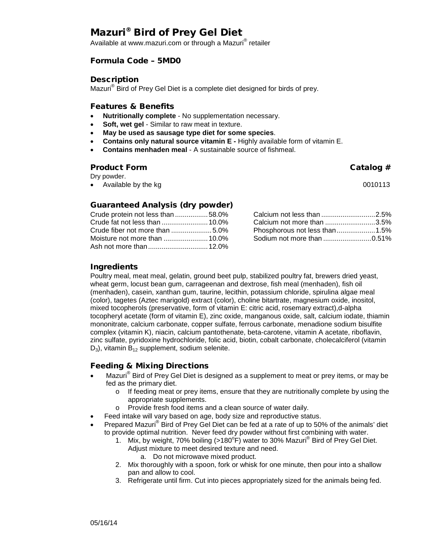# Mazuri® Bird of Prey Gel Diet

Available at www.mazuri.com or through a Mazuri® retailer

# Formula Code – 5MD0

#### **Description**

Mazuri® Bird of Prey Gel Diet is a complete diet designed for birds of prey.

#### Features & Benefits

- **Nutritionally complete**  No supplementation necessary.
- **Soft, wet gel Similar to raw meat in texture.**
- **May be used as sausage type diet for some species**.
- **Contains only natural source vitamin E -** Highly available form of vitamin E.
- **Contains menhaden meal**  A sustainable source of fishmeal.

#### Product Form **Catalog #**

Dry powder.

• Available by the kg 0010113

# Guaranteed Analysis (dry powder)

| Crude protein not less than 58.0% |  |
|-----------------------------------|--|
| Crude fat not less than  10.0%    |  |
|                                   |  |
|                                   |  |
|                                   |  |

| Calcium not less than 2.5%    |  |
|-------------------------------|--|
| Calcium not more than 3.5%    |  |
| Phosphorous not less than1.5% |  |
| Sodium not more than 0.51%    |  |

# Ingredients

Poultry meal, meat meal, gelatin, ground beet pulp, stabilized poultry fat, brewers dried yeast, wheat germ, locust bean gum, carrageenan and dextrose, fish meal (menhaden), fish oil (menhaden), casein, xanthan gum, taurine, lecithin, potassium chloride, spirulina algae meal (color), tagetes (Aztec marigold) extract (color), choline bitartrate, magnesium oxide, inositol, mixed tocopherols (preservative, form of vitamin E: citric acid, rosemary extract),d-alpha tocopheryl acetate (form of vitamin E), zinc oxide, manganous oxide, salt, calcium iodate, thiamin mononitrate, calcium carbonate, copper sulfate, ferrous carbonate, menadione sodium bisulfite complex (vitamin K), niacin, calcium pantothenate, beta-carotene, vitamin A acetate, riboflavin, zinc sulfate, pyridoxine hydrochloride, folic acid, biotin, cobalt carbonate, cholecalciferol (vitamin  $D_3$ ), vitamin  $B_{12}$  supplement, sodium selenite.

# Feeding & Mixing Directions

- Mazuri<sup>®</sup> Bird of Prey Gel Diet is designed as a supplement to meat or prey items, or may be fed as the primary diet.
	- o If feeding meat or prey items, ensure that they are nutritionally complete by using the appropriate supplements.
	- o Provide fresh food items and a clean source of water daily.
- Feed intake will vary based on age, body size and reproductive status.
- Prepared Mazuri® Bird of Prey Gel Diet can be fed at a rate of up to 50% of the animals' diet to provide optimal nutrition. Never feed dry powder without first combining with water.
	- 1. Mix, by weight, 70% boiling (>180 $^{\circ}$ F) water to 30% Mazuri $^{\circ}$  Bird of Prey Gel Diet. Adjust mixture to meet desired texture and need.
		- a. Do not microwave mixed product.
	- 2. Mix thoroughly with a spoon, fork or whisk for one minute, then pour into a shallow pan and allow to cool.
	- 3. Refrigerate until firm. Cut into pieces appropriately sized for the animals being fed.